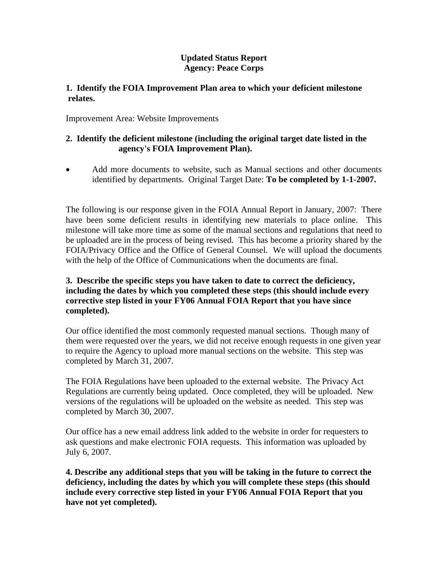## **Updated Status Report Agency: Peace Corps**

## **1. Identify the FOIA Improvement Plan area to which your deficient milestone relates.**

Improvement Area: Website Improvements

## **2. Identify the deficient milestone (including the original target date listed in the agency's FOIA Improvement Plan).**

• Add more documents to website, such as Manual sections and other documents identified by departments. Original Target Date: **To be completed by 1-1-2007.**

The following is our response given in the FOIA Annual Report in January, 2007: There have been some deficient results in identifying new materials to place online. This milestone will take more time as some of the manual sections and regulations that need to be uploaded are in the process of being revised. This has become a priority shared by the FOIA/Privacy Office and the Office of General Counsel. We will upload the documents with the help of the Office of Communications when the documents are final.

## **3. Describe the specific steps you have taken to date to correct the deficiency, including the dates by which you completed these steps (this should include every corrective step listed in your FY06 Annual FOIA Report that you have since completed).**

Our office identified the most commonly requested manual sections. Though many of them were requested over the years, we did not receive enough requests in one given year to require the Agency to upload more manual sections on the website. This step was completed by March 31, 2007.

The FOIA Regulations have been uploaded to the external website. The Privacy Act Regulations are currently being updated. Once completed, they will be uploaded. New versions of the regulations will be uploaded on the website as needed. This step was completed by March 30, 2007.

Our office has a new email address link added to the website in order for requesters to ask questions and make electronic FOIA requests. This information was uploaded by July 6, 2007.

**4. Describe any additional steps that you will be taking in the future to correct the deficiency, including the dates by which you will complete these steps (this should include every corrective step listed in your FY06 Annual FOIA Report that you have not yet completed).**